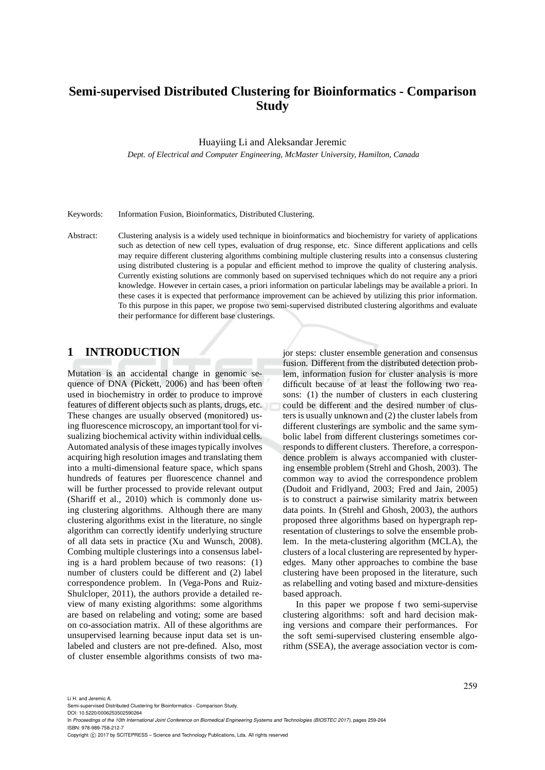# **Semi-supervised Distributed Clustering for Bioinformatics - Comparison Study**

Huayiing Li and Aleksandar Jeremic

*Dept. of Electrical and Computer Engineering, McMaster University, Hamilton, Canada*

Keywords: Information Fusion, Bioinformatics, Distributed Clustering.

Abstract: Clustering analysis is a widely used technique in bioinformatics and biochemistry for variety of applications such as detection of new cell types, evaluation of drug response, etc. Since different applications and cells may require different clustering algorithms combining multiple clustering results into a consensus clustering using distributed clustering is a popular and efficient method to improve the quality of clustering analysis. Currently existing solutions are commonly based on supervised techniques which do not require any a priori knowledge. However in certain cases, a priori information on particular labelings may be available a priori. In these cases it is expected that performance improvement can be achieved by utilizing this prior information. To this purpose in this paper, we propose two semi-supervised distributed clustering algorithms and evaluate their performance for different base clusterings.

## **1 INTRODUCTION**

Mutation is an accidental change in genomic sequence of DNA (Pickett, 2006) and has been often used in biochemistry in order to produce to improve features of different objects such as plants, drugs, etc. These changes are usually observed (monitored) using fluorescence microscopy, an important tool for visualizing biochemical activity within individual cells. Automated analysis of these images typically involves acquiring high resolution images and translating them into a multi-dimensional feature space, which spans hundreds of features per fluorescence channel and will be further processed to provide relevant output (Shariff et al., 2010) which is commonly done using clustering algorithms. Although there are many clustering algorithms exist in the literature, no single algorithm can correctly identify underlying structure of all data sets in practice (Xu and Wunsch, 2008). Combing multiple clusterings into a consensus labeling is a hard problem because of two reasons: (1) number of clusters could be different and (2) label correspondence problem. In (Vega-Pons and Ruiz-Shulcloper, 2011), the authors provide a detailed review of many existing algorithms: some algorithms are based on relabeling and voting; some are based on co-association matrix. All of these algorithms are unsupervised learning because input data set is unlabeled and clusters are not pre-defined. Also, most of cluster ensemble algorithms consists of two major steps: cluster ensemble generation and consensus fusion. Different from the distributed detection problem, information fusion for cluster analysis is more difficult because of at least the following two reasons: (1) the number of clusters in each clustering could be different and the desired number of clusters is usually unknown and (2) the cluster labels from different clusterings are symbolic and the same symbolic label from different clusterings sometimes corresponds to different clusters. Therefore, a correspondence problem is always accompanied with clustering ensemble problem (Strehl and Ghosh, 2003). The common way to aviod the correspondence problem (Dudoit and Fridlyand, 2003; Fred and Jain, 2005) is to construct a pairwise similarity matrix between data points. In (Strehl and Ghosh, 2003), the authors proposed three algorithms based on hypergraph representation of clusterings to solve the ensemble problem. In the meta-clustering algorithm (MCLA), the clusters of a local clustering are represented by hyperedges. Many other approaches to combine the base clustering have been proposed in the literature, such as relabelling and voting based and mixture-densities based approach.

In this paper we propose f two semi-supervise clustering algorithms: soft and hard decision making versions and compare their performances. For the soft semi-supervised clustering ensemble algorithm (SSEA), the average association vector is com-

Li H. and Jeremic A.

DOI: 10.5220/0006253502590264 In *Proceedings of the 10th International Joint Conference on Biomedical Engineering Systems and Technologies (BIOSTEC 2017)*, pages 259-264 ISBN: 978-989-758-212-7

Copyright (C) 2017 by SCITEPRESS - Science and Technology Publications, Lda. All rights reserved

Semi-supervised Distributed Clustering for Bioinformatics - Comparison Study.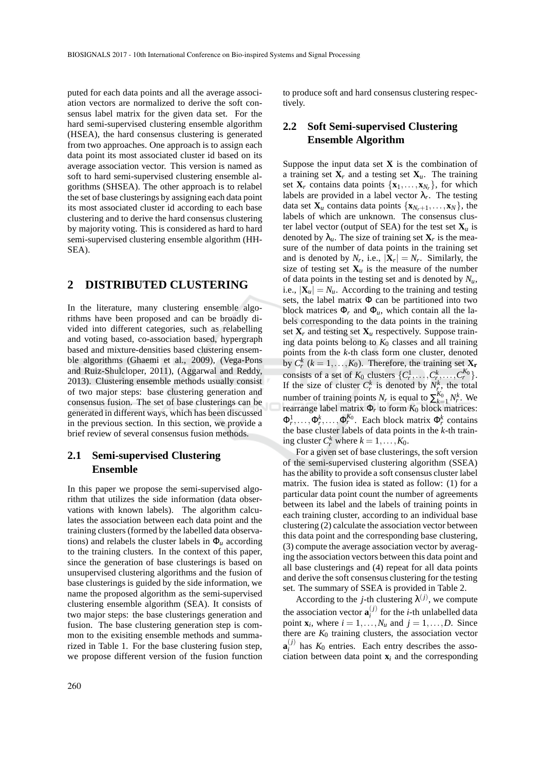puted for each data points and all the average association vectors are normalized to derive the soft consensus label matrix for the given data set. For the hard semi-supervised clustering ensemble algorithm (HSEA), the hard consensus clustering is generated from two approaches. One approach is to assign each data point its most associated cluster id based on its average association vector. This version is named as soft to hard semi-supervised clustering ensemble algorithms (SHSEA). The other approach is to relabel the set of base clusterings by assigning each data point its most associated cluster id according to each base clustering and to derive the hard consensus clustering by majority voting. This is considered as hard to hard semi-supervised clustering ensemble algorithm (HH-SEA).

#### **2 DISTRIBUTED CLUSTERING**

In the literature, many clustering ensemble algorithms have been proposed and can be broadly divided into different categories, such as relabelling and voting based, co-association based, hypergraph based and mixture-densities based clustering ensemble algorithms (Ghaemi et al., 2009), (Vega-Pons and Ruiz-Shulcloper, 2011), (Aggarwal and Reddy, 2013). Clustering ensemble methods usually consist of two major steps: base clustering generation and consensus fusion. The set of base clusterings can be generated in different ways, which has been discussed in the previous section. In this section, we provide a brief review of several consensus fusion methods.

#### **2.1 Semi-supervised Clustering Ensemble**

In this paper we propose the semi-supervised algorithm that utilizes the side information (data observations with known labels). The algorithm calculates the association between each data point and the training clusters (formed by the labelled data observations) and relabels the cluster labels in  $\Phi_u$  according to the training clusters. In the context of this paper, since the generation of base clusterings is based on unsupervised clustering algorithms and the fusion of base clusterings is guided by the side information, we name the proposed algorithm as the semi-supervised clustering ensemble algorithm (SEA). It consists of two major steps: the base clusterings generation and fusion. The base clustering generation step is common to the exisiting ensemble methods and summarized in Table 1. For the base clustering fusion step, we propose different version of the fusion function

to produce soft and hard consensus clustering respectively.

## **2.2 Soft Semi-supervised Clustering Ensemble Algorithm**

Suppose the input data set  $X$  is the combination of a training set  $X_r$  and a testing set  $X_u$ . The training set  $\mathbf{X}_r$  contains data points  $\{\mathbf{x}_1, \dots, \mathbf{x}_{N_r}\}$ , for which labels are provided in a label vector  $\lambda_r$ . The testing data set  $\mathbf{X}_u$  contains data points  $\{\mathbf{x}_{N_r+1},\ldots,\mathbf{x}_N\}$ , the labels of which are unknown. The consensus cluster label vector (output of SEA) for the test set  $X_u$  is denoted by  $\lambda_u$ . The size of training set  $\mathbf{X}_r$  is the measure of the number of data points in the training set and is denoted by  $N_r$ , i.e.,  $|\mathbf{X}_r| = N_r$ . Similarly, the size of testing set  $X_u$  is the measure of the number of data points in the testing set and is denoted by *Nu*, i.e.,  $|\mathbf{X}_u| = N_u$ . According to the training and testing sets, the label matrix  $\Phi$  can be partitioned into two block matrices  $\Phi_r$  and  $\Phi_u$ , which contain all the labels corresponding to the data points in the training set  $X_r$  and testing set  $X_u$  respectively. Suppose training data points belong to *K*<sup>0</sup> classes and all training points from the *k*-th class form one cluster, denoted by  $C_r^k$  ( $k = 1, ..., K_0$ ). Therefore, the training set  $\mathbf{X}_r$ consists of a set of  $K_0$  clusters  $\{C_r^1, \ldots, C_r^k, \ldots, C_r^{K_0}\}$ . If the size of cluster  $C_r^k$  is denoted by  $N_r^k$ , the total number of training points *N<sub>r</sub>* is equal to  $\sum_{k=1}^{K_0} N_r^k$ . We rearrange label matrix Φ*<sup>r</sup>* to form *K*<sup>0</sup> block matrices:  $\Phi_r^1, \ldots, \Phi_r^k, \ldots, \Phi_r^{K_0}$ . Each block matrix  $\Phi_r^k$  contains the base cluster labels of data points in the *k*-th training cluster  $C_r^k$  where  $k = 1, ..., K_0$ .

For a given set of base clusterings, the soft version of the semi-supervised clustering algorithm (SSEA) has the ability to provide a soft consensus cluster label matrix. The fusion idea is stated as follow: (1) for a particular data point count the number of agreements between its label and the labels of training points in each training cluster, according to an individual base clustering (2) calculate the association vector between this data point and the corresponding base clustering, (3) compute the average association vector by averaging the association vectors between this data point and all base clusterings and (4) repeat for all data points and derive the soft consensus clustering for the testing set. The summary of SSEA is provided in Table 2.

According to the *j*-th clustering  $\lambda^{(j)}$ , we compute the association vector  $\mathbf{a}_i^{(j)}$  for the *i*-th unlabelled data point  $\mathbf{x}_i$ , where  $i = 1, \ldots, N_u$  and  $j = 1, \ldots, D$ . Since there are  $K_0$  training clusters, the association vector  $\mathbf{a}_i^{(j)}$  $\binom{1}{i}$  has  $K_0$  entries. Each entry describes the association between data point **x***<sup>i</sup>* and the corresponding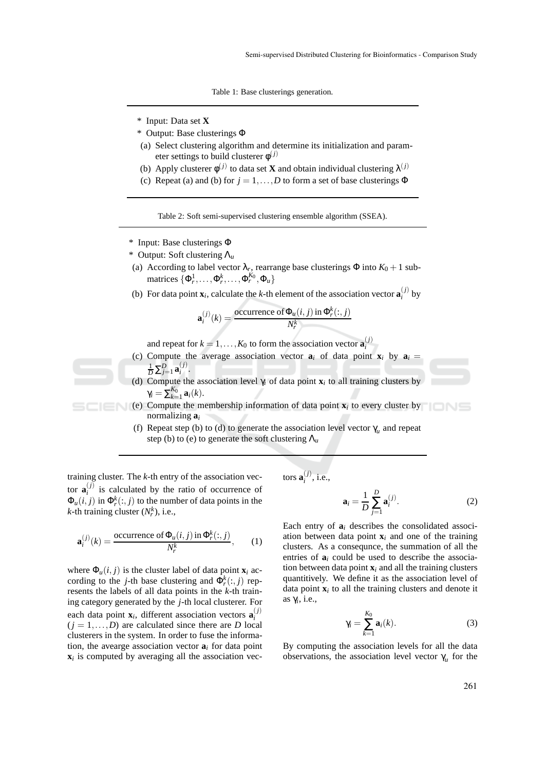Table 1: Base clusterings generation.

- \* Input: Data set **X**
- \* Output: Base clusterings Φ
- (a) Select clustering algorithm and determine its initialization and parameter settings to build clusterer  $\phi^{(j)}$
- (b) Apply clusterer  $\phi^{(j)}$  to data set **X** and obtain individual clustering  $\lambda^{(j)}$
- (c) Repeat (a) and (b) for  $j = 1, \ldots, D$  to form a set of base clusterings  $\Phi$

Table 2: Soft semi-supervised clustering ensemble algorithm (SSEA).

- \* Input: Base clusterings Φ
- \* Output: Soft clustering Λ*<sup>u</sup>*
- (a) According to label vector  $\lambda_r$ , rearrange base clusterings  $\Phi$  into  $K_0 + 1$  submatrices  $\{\Phi_r^1, \ldots, \Phi_r^k, \ldots, \Phi_r^{K_0}, \Phi_u\}$
- (b) For data point  $\mathbf{x}_i$ , calculate the *k*-th element of the association vector  $\mathbf{a}_i^{(j)}$  $\int_i^{(J)}$  by

$$
\mathbf{a}_{i}^{(j)}(k) = \frac{\text{occurrence of } \Phi_{u}(i,j) \text{ in } \Phi_{r}^{k}(:,j)}{N_{r}^{k}}
$$

and repeat for  $k = 1, ..., K_0$  to form the association vector  $\mathbf{a}_i^{(j)}$ 

- (c) Compute the average association vector  $\mathbf{a}_i$  of data point  $\mathbf{x}_i$  by  $\mathbf{a}_i =$  $\frac{1}{D}\sum_{j=1}^{D} \mathbf{a}_{i}^{(j)}$ .
- (d) Compute the association level  $\gamma_i$  of data point  $\mathbf{x}_i$  to all training clusters by  $\gamma_i = \sum_{k=1}^{K_0} \mathbf{a}_i(k).$
- (e) Compute the membership information of data point  $\mathbf{x}_i$  to every cluster by normalizing **a***<sup>i</sup>*
	- (f) Repeat step (b) to (d) to generate the association level vector  $\gamma_u$  and repeat step (b) to (e) to generate the soft clustering  $\Lambda_u$

training cluster. The *k*-th entry of the association vector  $\mathbf{a}^{(j)}_i$  $i_j^{(j)}$  is calculated by the ratio of occurrence of  $\Phi_u(i,j)$  in  $\Phi_r^k(:,j)$  to the number of data points in the *k*-th training cluster  $(N_r^k)$ , i.e.,

$$
\mathbf{a}_i^{(j)}(k) = \frac{\text{occurrence of } \Phi_u(i,j) \text{ in } \Phi_r^k(:,j)}{N_r^k},\qquad(1)
$$

where  $\Phi_u(i, j)$  is the cluster label of data point  $\mathbf{x}_i$  according to the *j*-th base clustering and  $\Phi_r^k(:,j)$  represents the labels of all data points in the *k*-th training category generated by the *j*-th local clusterer. For each data point  $\mathbf{x}_i$ , different association vectors  $\mathbf{a}_i^{(j)}$ *i*  $(j = 1, \ldots, D)$  are calculated since there are *D* local clusterers in the system. In order to fuse the information, the avearge association vector  $a_i$  for data point  $x_i$  is computed by averaging all the association vectors  $\mathbf{a}_i^{(j)}$ , i.e.,

$$
\mathbf{a}_i = \frac{1}{D} \sum_{j=1}^{D} \mathbf{a}_i^{(j)}.
$$
 (2)

Each entry of  $a_i$  describes the consolidated association between data point **x***<sup>i</sup>* and one of the training clusters. As a consequnce, the summation of all the entries of **a***<sup>i</sup>* could be used to describe the association between data point  $\mathbf{x}_i$  and all the training clusters quantitively. We define it as the association level of data point  $\mathbf{x}_i$  to all the training clusters and denote it as γ*<sup>i</sup>* , i.e.,

$$
\gamma_i = \sum_{k=1}^{K_0} \mathbf{a}_i(k). \tag{3}
$$

By computing the association levels for all the data observations, the association level vector  $\gamma_u$  for the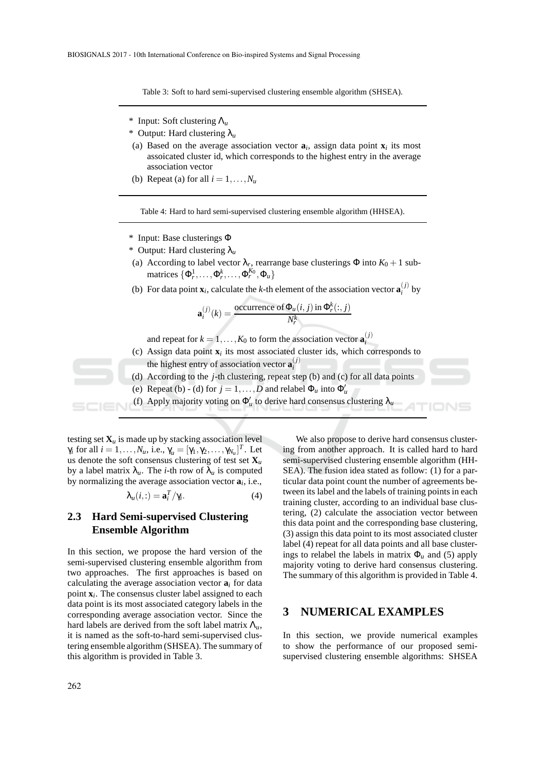Table 3: Soft to hard semi-supervised clustering ensemble algorithm (SHSEA).

- \* Input: Soft clustering Λ*<sup>u</sup>*
- \* Output: Hard clustering λ*<sup>u</sup>*
- (a) Based on the average association vector  $a_i$ , assign data point  $x_i$  its most assoicated cluster id, which corresponds to the highest entry in the average association vector
- (b) Repeat (a) for all  $i = 1, \ldots, N_u$

Table 4: Hard to hard semi-supervised clustering ensemble algorithm (HHSEA).

- \* Input: Base clusterings Φ
- \* Output: Hard clustering λ*<sup>u</sup>*
- (a) According to label vector  $\lambda_r$ , rearrange base clusterings  $\Phi$  into  $K_0 + 1$  submatrices  $\{\Phi_r^1, \ldots, \Phi_r^k, \ldots, \Phi_r^{K_0}, \Phi_u\}$
- (b) For data point  $\mathbf{x}_i$ , calculate the *k*-th element of the association vector  $\mathbf{a}_i^{(j)}$  by

$$
\mathbf{a}_{i}^{(j)}(k) = \frac{\text{occurrence of } \Phi_{u}(i, j) \text{ in } \Phi_{r}^{k}(:, j)}{N_{r}^{k}}
$$

and repeat for  $k = 1, ..., K_0$  to form the association vector  $\mathbf{a}_i^{(j)}$ 

- (c) Assign data point  $\mathbf{x}_i$  its most associated cluster ids, which corresponds to the highest entry of association vector  $\mathbf{a}_i^{(j)}$
- (d) According to the *j*-th clustering, repeat step (b) and (c) for all data points
- (e) Repeat (b) (d) for  $j = 1, ..., D$  and relabel  $\Phi_u$  into  $\Phi'_u$
- (f) Apply majority voting on  $\Phi'_u$  to derive hard consensus clustering  $\lambda_u$

testing set  $X_u$  is made up by stacking association level *γ<sub>i</sub>* for all  $i = 1, ..., N_u$ , i.e.,  $γ_u = [γ_1, γ_2, ..., γ_{N_u}]^T$ . Let us denote the soft consensus clustering of test set  $\mathbf{X}_u$ by a label matrix  $\lambda_u$ . The *i*-th row of  $\lambda_u$  is computed by normalizing the average association vector **a***<sup>i</sup>* , i.e.,

$$
\lambda_u(i,:) = \mathbf{a}_i^T / \gamma_i. \tag{4}
$$

## **2.3 Hard Semi-supervised Clustering Ensemble Algorithm**

In this section, we propose the hard version of the semi-supervised clustering ensemble algorithm from two approaches. The first approaches is based on calculating the average association vector  $a_i$  for data point **x***<sup>i</sup>* . The consensus cluster label assigned to each data point is its most associated category labels in the corresponding average association vector. Since the hard labels are derived from the soft label matrix Λ*u*, it is named as the soft-to-hard semi-supervised clustering ensemble algorithm (SHSEA). The summary of this algorithm is provided in Table 3.

We also propose to derive hard consensus clustering from another approach. It is called hard to hard semi-supervised clustering ensemble algorithm (HH-SEA). The fusion idea stated as follow: (1) for a particular data point count the number of agreements between its label and the labels of training points in each training cluster, according to an individual base clustering, (2) calculate the association vector between this data point and the corresponding base clustering, (3) assign this data point to its most associated cluster label (4) repeat for all data points and all base clusterings to relabel the labels in matrix  $\Phi_u$  and (5) apply majority voting to derive hard consensus clustering. The summary of this algorithm is provided in Table 4.

#### **3 NUMERICAL EXAMPLES**

In this section, we provide numerical examples to show the performance of our proposed semisupervised clustering ensemble algorithms: SHSEA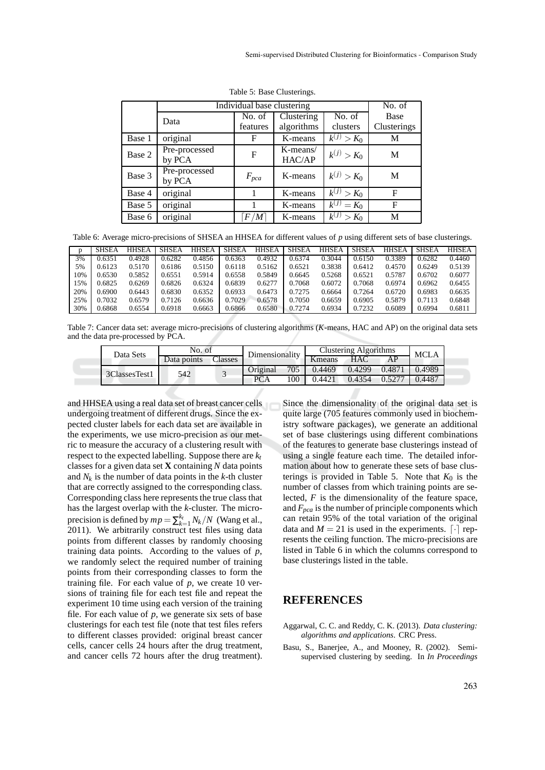|        |                         | Individual base clustering |                            |                            |                            |  |  |
|--------|-------------------------|----------------------------|----------------------------|----------------------------|----------------------------|--|--|
|        | Data                    | No. of<br>features         | Clustering<br>algorithms   |                            | <b>Base</b><br>Clusterings |  |  |
| Base 1 | original                |                            | $k^{(j)} > K_0$<br>K-means |                            | М                          |  |  |
| Base 2 | Pre-processed<br>by PCA | F                          | $K$ -means/<br>HAC/AP      | $k^{(j)} > K_0$            | M                          |  |  |
| Base 3 | Pre-processed<br>by PCA | K-means<br>$F_{pca}$       |                            | $k^{(j)} > K_0$            | M                          |  |  |
| Base 4 | original                |                            | K-means                    | $\overline{k}^{(j)} > K_0$ | $\mathbf F$                |  |  |
| Base 5 | original                |                            | K-means                    | $k^{(j)} = K_0$            | $\mathbf F$                |  |  |
| Base 6 | original                | F/M                        | K-means                    | $k^{(j)} > K_0$            | M                          |  |  |

Table 5: Base Clusterings.

Table 6: Average micro-precisions of SHSEA an HHSEA for different values of *p* using different sets of base clusterings.

| n   | <b>SHSEA</b> | <b>HHSEA</b> | <b>SHSEA</b> | <b>HHSEA</b> | <b>SHSEA</b> | <b>HHSEA</b> | <b>SHSEA</b> | <b>HHSEA</b> | <b>SHSEA</b> | HHSEA  | SHSEA  | <b>HHSEA</b> |
|-----|--------------|--------------|--------------|--------------|--------------|--------------|--------------|--------------|--------------|--------|--------|--------------|
| 3%  | 0.6351       | 0.4928       | 0.6282       | 0.4856       | 0.6363       | 0.4932       | 0.6374       | 0.3044       | 0.6150       | 0.3389 | 0.6282 | 0.4460       |
| 5%  | 0.6123       | 0.5170       | 0.6186       | 0.5150       | 0.6118       | 0.5162       | 0.6521       | 0.3838       | 0.6412       | 0.4570 | 0.6249 | 0.5139       |
| 10% | 0.6530       | 0.5852       | 0.6551       | 0.5914       | 0.6558       | 0.5849       | 0.6645       | 0.5268       | 0.6521       | 0.5787 | 0.6702 | 0.6077       |
| 15% | 0.6825       | 0.6269       | 0.6826       | 0.6324       | 0.6839       | 0.6277       | 0.7068       | 0.6072       | 0.7068       | 0.6974 | 0.6962 | 0.6455       |
| 20% | 0.6900       | 0.6443       | 0.6830       | 0.6352       | 0.6933       | 0.6473       | 0.7275       | 0.6664       | 0.7264       | 0.6720 | 0.6983 | 0.6635       |
| 25% | 0.7032       | 0.6579       | 0.7126       | 0.6636       | 0.7029       | 0.6578       | 0.7050       | 0.6659       | 0.6905       | 0.5879 | 0.7113 | 0.6848       |
| 30% | 0.6868       | 0.6554       | 0.6918       | 0.6663       | 0.6866       | 0.6580       | 0.7274       | 0.6934       | 0.7232       | 0.6089 | 0.6994 | 0.6811       |

Table 7: Cancer data set: average micro-precisions of clustering algorithms (*K*-means, HAC and AP) on the original data sets and the data pre-processed by PCA.

| Data Sets     | No. of      |         | Dimensionality |     | Clustering Algorithms |            |       | <b>MCLA</b>    |
|---------------|-------------|---------|----------------|-----|-----------------------|------------|-------|----------------|
|               | Data points | Classes |                |     | Kmeans                | <b>HAC</b> | AP    |                |
| 3ClassesTest1 | 542         |         | Original       | 705 | 0.4469                | 0.4299     | 0.487 | 0.4989         |
|               |             |         | PCA            | .00 | 0.4421                | 0.4354     |       | $^{\circ}4487$ |

and HHSEA using a real data set of breast cancer cells undergoing treatment of different drugs. Since the expected cluster labels for each data set are available in the experiments, we use micro-precision as our metric to measure the accuracy of a clustering result with respect to the expected labelling. Suppose there are  $k_t$ classes for a given data set **X** containing *N* data points and  $N_k$  is the number of data points in the  $k$ -th cluster that are correctly assigned to the corresponding class. Corresponding class here represents the true class that has the largest overlap with the *k*-cluster. The microprecision is defined by  $mp = \sum_{k=1}^{k_t} N_k/N$  (Wang et al., 2011). We arbitrarily construct test files using data points from different classes by randomly choosing training data points. According to the values of *p*, we randomly select the required number of training points from their corresponding classes to form the training file. For each value of *p*, we create 10 versions of training file for each test file and repeat the experiment 10 time using each version of the training file. For each value of  $p$ , we generate six sets of base clusterings for each test file (note that test files refers to different classes provided: original breast cancer cells, cancer cells 24 hours after the drug treatment, and cancer cells 72 hours after the drug treatment).

Since the dimensionality of the original data set is quite large (705 features commonly used in biochemistry software packages), we generate an additional set of base clusterings using different combinations of the features to generate base clusterings instead of using a single feature each time. The detailed information about how to generate these sets of base clusterings is provided in Table 5. Note that  $K_0$  is the number of classes from which training points are selected, *F* is the dimensionality of the feature space, and *Fpca* is the number of principle components which can retain 95% of the total variation of the original data and  $M = 21$  is used in the experiments.  $\lceil \cdot \rceil$  represents the ceiling function. The micro-precisions are listed in Table 6 in which the columns correspond to base clusterings listed in the table.

# **REFERENCES**

- Aggarwal, C. C. and Reddy, C. K. (2013). *Data clustering: algorithms and applications*. CRC Press.
- Basu, S., Banerjee, A., and Mooney, R. (2002). Semisupervised clustering by seeding. In *In Proceedings*